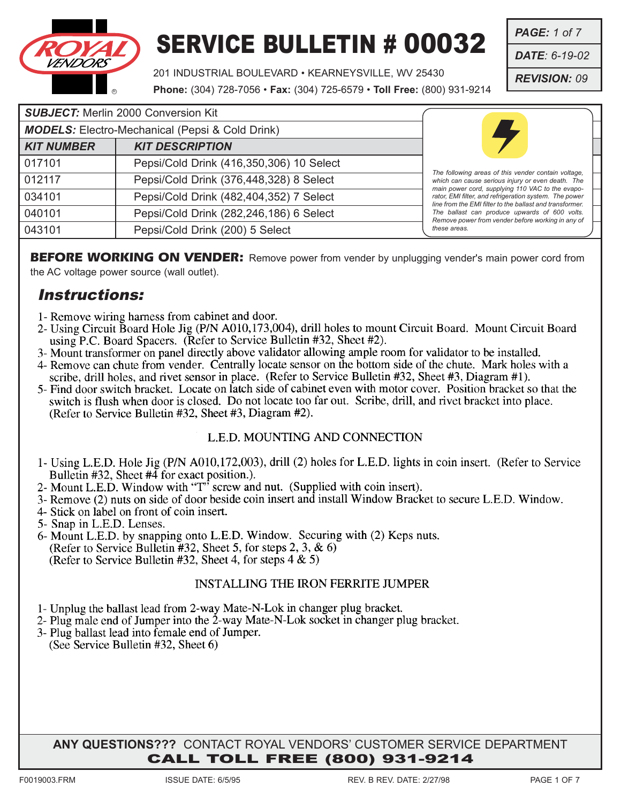

201 INDUSTRIAL BOULEVARD • KEARNEYSVILLE, WV 25430

**Phone:** (304) 728-7056 • **Fax:** (304) 725-6579 • **Toll Free:** (800) 931-9214

| <b>SUBJECT:</b> Merlin 2000 Conversion Kit |                                                        |                                                                                                                                                                        |
|--------------------------------------------|--------------------------------------------------------|------------------------------------------------------------------------------------------------------------------------------------------------------------------------|
|                                            | <b>MODELS:</b> Electro-Mechanical (Pepsi & Cold Drink) |                                                                                                                                                                        |
| <b>KIT NUMBER</b>                          | <b>KIT DESCRIPTION</b>                                 |                                                                                                                                                                        |
| 017101                                     | Pepsi/Cold Drink (416,350,306) 10 Select               |                                                                                                                                                                        |
| 012117                                     | Pepsi/Cold Drink (376,448,328) 8 Select                | The following areas of this vender contain voltage.<br>which can cause serious injury or even death. The                                                               |
| 034101                                     | Pepsi/Cold Drink (482,404,352) 7 Select                | main power cord, supplying 110 VAC to the evapo-<br>rator, EMI filter, and refrigeration system. The power<br>line from the EMI filter to the ballast and transformer. |
| 040101                                     | Pepsi/Cold Drink (282,246,186) 6 Select                | The ballast can produce upwards of 600 volts.<br>Remove power from vender before working in any of                                                                     |
| 043101                                     | Pepsi/Cold Drink (200) 5 Select                        | these areas.                                                                                                                                                           |

**BEFORE WORKING ON VENDER:** Remove power from vender by unplugging vender's main power cord from the AC voltage power source (wall outlet).

#### Instructions:

- 1- Remove wiring harness from cabinet and door.
- 2- Using Circuit Board Hole Jig (P/N A010,173,004), drill holes to mount Circuit Board. Mount Circuit Board using P.C. Board Spacers. (Refer to Service Bulletin #32, Sheet #2).
- 3- Mount transformer on panel directly above validator allowing ample room for validator to be installed.
- 4- Remove can chute from vender. Centrally locate sensor on the bottom side of the chute. Mark holes with a scribe, drill holes, and rivet sensor in place. (Refer to Service Bulletin #32, Sheet #3, Diagram #1).
- 5- Find door switch bracket. Locate on latch side of cabinet even with motor cover. Position bracket so that the switch is flush when door is closed. Do not locate too far out. Scribe, drill, and rivet bracket into place. (Refer to Service Bulletin #32, Sheet #3, Diagram #2).

#### L.E.D. MOUNTING AND CONNECTION

- 1- Using L.E.D. Hole Jig (P/N A010,172,003), drill (2) holes for L.E.D. lights in coin insert. (Refer to Service Bulletin  $#32$ , Sheet  $#4$  for exact position.).
- 2- Mount L.E.D. Window with "T" screw and nut. (Supplied with coin insert).
- 3- Remove (2) nuts on side of door beside coin insert and install Window Bracket to secure L.E.D. Window.
- 4- Stick on label on front of coin insert.
- 5- Snap in L.E.D. Lenses.
- 6- Mount L.E.D. by snapping onto L.E.D. Window. Securing with (2) Keps nuts. (Refer to Service Bulletin #32, Sheet 5, for steps 2, 3,  $\& 6$ ) (Refer to Service Bulletin #32, Sheet 4, for steps  $4 \& 5$ )

#### **INSTALLING THE IRON FERRITE JUMPER**

- 1- Unplug the ballast lead from 2-way Mate-N-Lok in changer plug bracket.
- 2- Plug male end of Jumper into the 2-way Mate-N-Lok socket in changer plug bracket.
- 3- Plug ballast lead into female end of Jumper. (See Service Bulletin #32, Sheet 6)

#### **ANY QUESTIONS???** CONTACT ROYAL VENDORS' CUSTOMER SERVICE DEPARTMENT CALL TOLL FREE (800) 931-9214

*PAGE: 1 of 7*

*DATE: 6-19-02*

*REVISION: 09*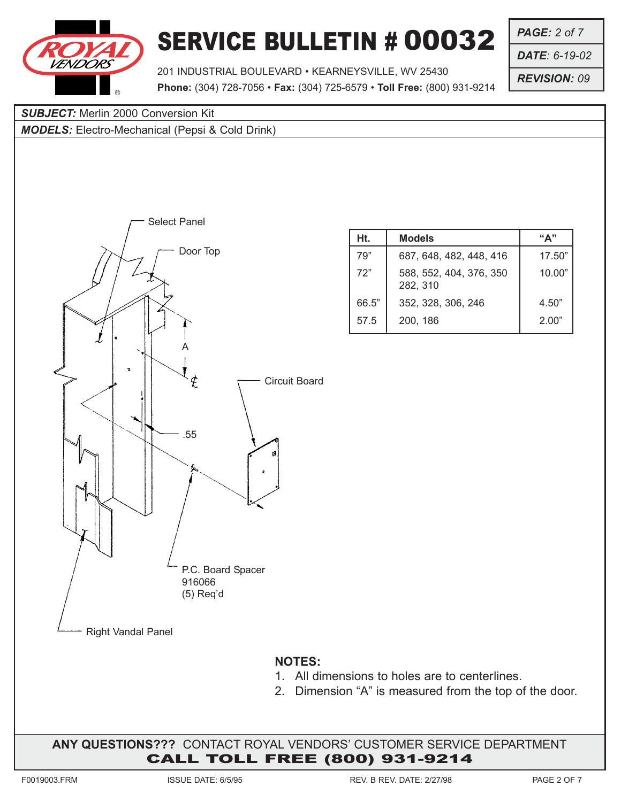

*PAGE: 2 of 7*

*DATE: 6-19-02*

*REVISION: 09*

201 INDUSTRIAL BOULEVARD • KEARNEYSVILLE, WV 25430 **Phone:** (304) 728-7056 • **Fax:** (304) 725-6579 • **Toll Free:** (800) 931-9214

**SUBJECT:** Merlin 2000 Conversion Kit

*MODELS:* Electro-Mechanical (Pepsi & Cold Drink)



| Ht.   | <b>Models</b>                       | "∆"    |
|-------|-------------------------------------|--------|
| 79"   | 687, 648, 482, 448, 416             | 17.50" |
| 72"   | 588, 552, 404, 376, 350<br>282, 310 | 10.00" |
| 66.5" | 352, 328, 306, 246                  | 4.50"  |
| 57.5  | 200, 186                            | 2.00"  |

- 1. All dimensions to holes are to centerlines.
- 2. Dimension "A" is measured from the top of the door.

**ANY QUESTIONS???** CONTACT ROYAL VENDORS' CUSTOMER SERVICE DEPARTMENT CALL TOLL FREE (800) 931-9214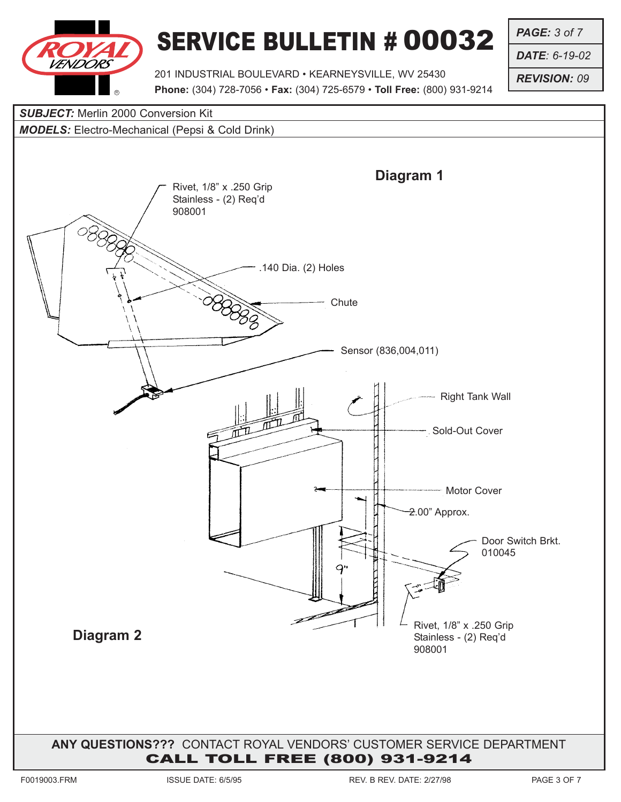

*PAGE: 3 of 7*

*DATE: 6-19-02*

*REVISION: 09*

201 INDUSTRIAL BOULEVARD • KEARNEYSVILLE, WV 25430 **Phone:** (304) 728-7056 • **Fax:** (304) 725-6579 • **Toll Free:** (800) 931-9214

#### **SUBJECT:** Merlin 2000 Conversion Kit

#### *MODELS:* Electro-Mechanical (Pepsi & Cold Drink)

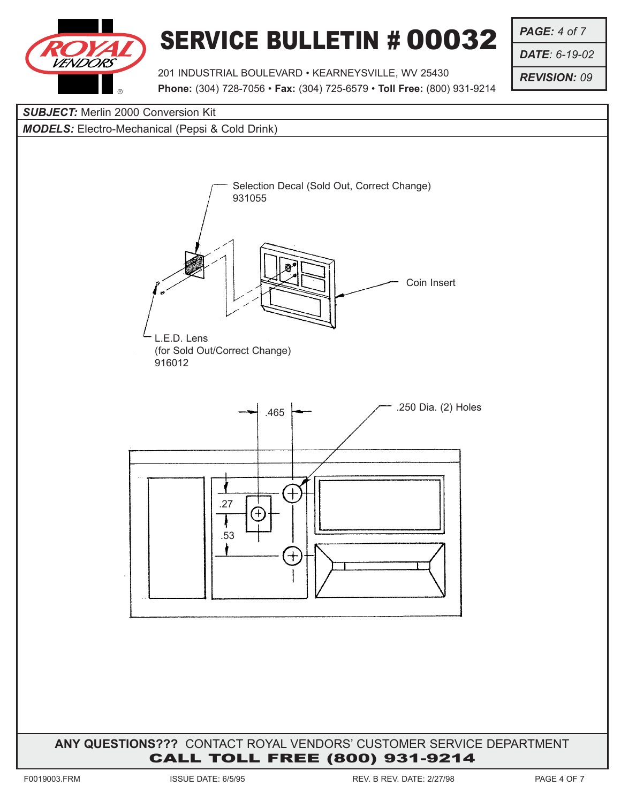

201 INDUSTRIAL BOULEVARD • KEARNEYSVILLE, WV 25430 **Phone:** (304) 728-7056 • **Fax:** (304) 725-6579 • **Toll Free:** (800) 931-9214

Coin Insert

*PAGE: 4 of 7*

*DATE: 6-19-02*

*REVISION: 09*

# *SUBJECT:* Merlin 2000 Conversion Kit *MODELS:* Electro-Mechanical (Pepsi & Cold Drink) Selection Decal (Sold Out, Correct Change) 931055L.E.D. Lens (for Sold Out/Correct Change) 916012 .465  $\leftarrow$  .250 Dia. (2) Holes .27  $^{+}$ .53 ╈

#### **ANY QUESTIONS???** CONTACT ROYAL VENDORS' CUSTOMER SERVICE DEPARTMENT CALL TOLL FREE (800) 931-9214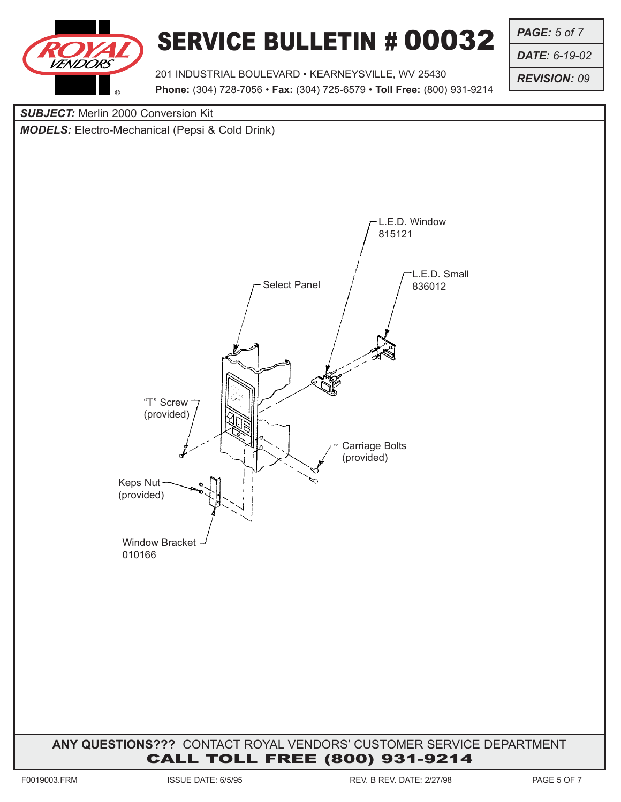

201 INDUSTRIAL BOULEVARD • KEARNEYSVILLE, WV 25430 **Phone:** (304) 728-7056 • **Fax:** (304) 725-6579 • **Toll Free:** (800) 931-9214 *PAGE: 5 of 7*

*DATE: 6-19-02*

*REVISION: 09*

## **ANY QUESTIONS???** CONTACT ROYAL VENDORS' CUSTOMER SERVICE DEPARTMENT CALL TOLL FREE (800) 931-9214 **SUBJECT:** Merlin 2000 Conversion Kit *MODELS:* Electro-Mechanical (Pepsi & Cold Drink) Select Panel L.E.D. Window 815121 L.E.D. Small 836012 Carriage Bolts (provided) Window Bracket -010166 Keps Nut (provided) "T" Screw (provided)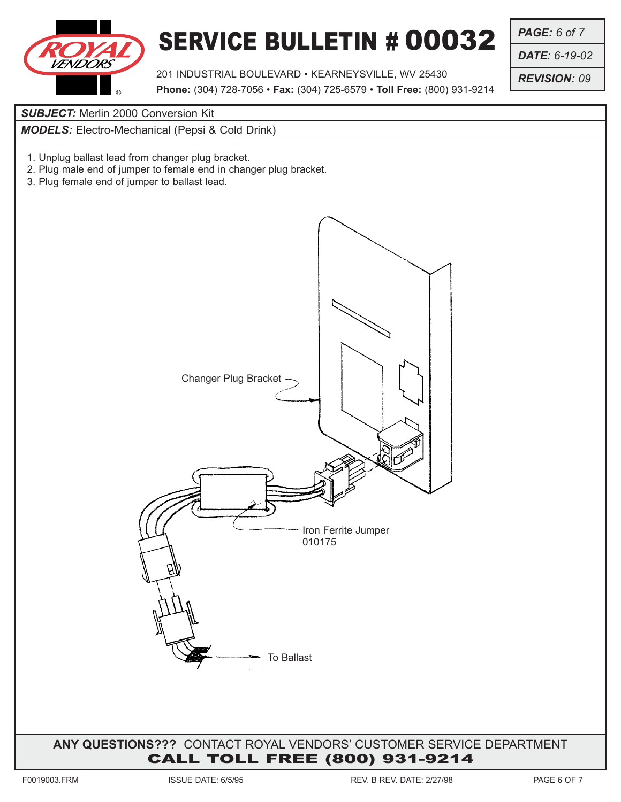

201 INDUSTRIAL BOULEVARD • KEARNEYSVILLE, WV 25430 **Phone:** (304) 728-7056 • **Fax:** (304) 725-6579 • **Toll Free:** (800) 931-9214 *PAGE: 6 of 7*

*DATE: 6-19-02*

*REVISION: 09*

**SUBJECT:** Merlin 2000 Conversion Kit

*MODELS:* Electro-Mechanical (Pepsi & Cold Drink)

- 1. Unplug ballast lead from changer plug bracket.
- 2. Plug male end of jumper to female end in changer plug bracket.
- 3. Plug female end of jumper to ballast lead.



**ANY QUESTIONS???** CONTACT ROYAL VENDORS' CUSTOMER SERVICE DEPARTMENT CALL TOLL FREE (800) 931-9214